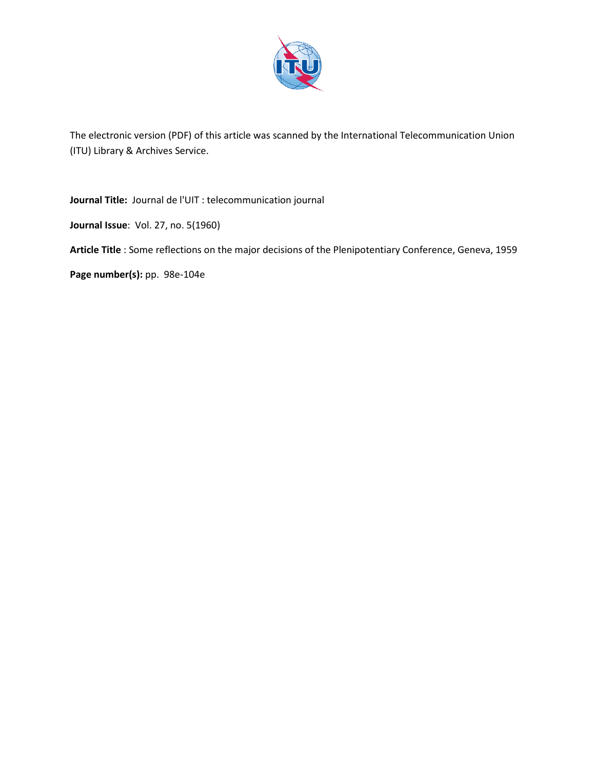

The electronic version (PDF) of this article was scanned by the International Telecommunication Union (ITU) Library & Archives Service.

**Journal Title:** Journal de l'UIT : telecommunication journal

**Journal Issue**: Vol. 27, no. 5(1960)

**Article Title** : Some reflections on the major decisions of the Plenipotentiary Conference, Geneva, 1959

**Page number(s):** pp. 98e-104e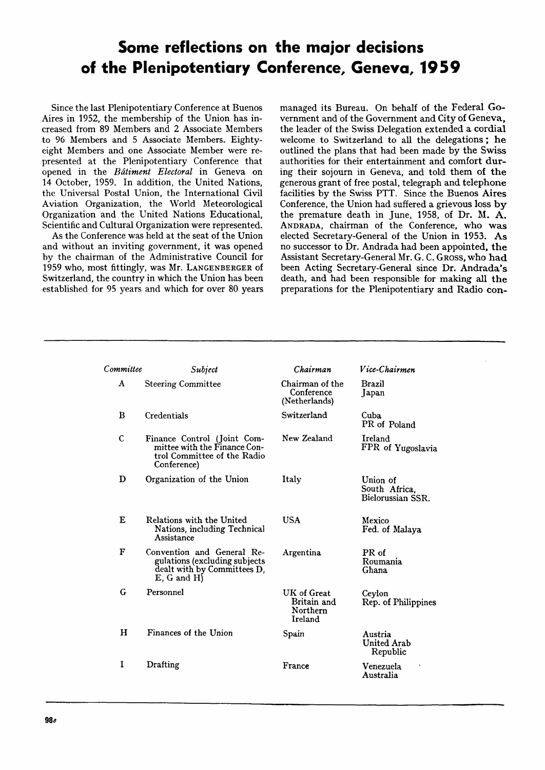# **Some reflections on the major decisions of the Plenipotentiary Conference, Geneva, 1959**

Since the last Plenipotentiary Conference at Buenos Aires in 1952, the membership of the Union has increased from 89 Members and 2 Associate Members to 96 Members and 5 Associate Members. Eightyeight Members and one Associate Member were represented at the Plenipotentiary Conference that opened in the *Bdtiment Electoral* in Geneva on 14 October, 1959. In addition, the United Nations, the Universal Postal Union, the International Civil Aviation Organization, the World Meteorological Organization and the United Nations Educational, Scientific and Cultural Organization were represented.

As the Conference was held at the seat of the Union and without an inviting government, it was opened by the chairman of the Administrative Council for 1959 who, most fittingly, was Mr. LANGENBERGER of Switzerland, the country in which the Union has been established for 95 years and which for over 80 years

managed its Bureau. On behalf of the Federal Government and of the Government and City of Geneva, the leader of the Swiss Delegation extended a cordial welcome to Switzerland to all the delegations; he outlined the plans that had been made by the Swiss authorities for their entertainment and comfort during their sojourn in Geneva, and told them of the generous grant of free postal, telegraph and telephone facilities by the Swiss PTT. Since the Buenos Aires Conference, the Union had suffered a grievous loss by the premature death in June, 1958, of Dr. M. A. ANDRADA, chairman of the Conference, who was elected Secretary-General of the Union in 1953. As no successor to Dr. Andrada had been appointed, the Assistant Secretary-General Mr. G. C. Gross, who had been Acting Secretary-General since Dr. Andrada's death, and had been responsible for making all the preparations for the Plenipotentiary and Radio con-

| Committee    | Subject                                                                                                         | Chairman                                          | Vice-Chairmen                                  |
|--------------|-----------------------------------------------------------------------------------------------------------------|---------------------------------------------------|------------------------------------------------|
| $\bf{A}$     | <b>Steering Committee</b>                                                                                       | Chairman of the<br>Conference<br>(Netherlands)    | <b>Brazil</b><br>Japan                         |
| B            | Credentials                                                                                                     | Switzerland                                       | Cuba<br>PR of Poland                           |
| $\mathsf{C}$ | Finance Control (Joint Com-<br>mittee with the Finance Con-<br>trol Committee of the Radio<br>Conference)       | New Zealand                                       | Ireland<br>FPR of Yugoslavia                   |
| D            | Organization of the Union                                                                                       | Italy                                             | Union of<br>South Africa.<br>Bielorussian SSR. |
| E            | Relations with the United<br>Nations, including Technical<br>Assistance                                         | <b>USA</b>                                        | Mexico<br>Fed. of Malaya                       |
| F            | Convention and General Re-<br>gulations (excluding subjects<br>dealt with by Committees D.<br>$E$ , G and $H$ ) | Argentina                                         | PR of<br>Roumania<br>Ghana                     |
| G            | Personnel                                                                                                       | UK of Great<br>Britain and<br>Northern<br>Ireland | Ceylon<br>Rep. of Philippines                  |
| н            | Finances of the Union                                                                                           | Spain                                             | Austria<br><b>United Arab</b><br>Republic      |
| I            | Drafting                                                                                                        | France                                            | Venezuela<br>Australia                         |
|              |                                                                                                                 |                                                   |                                                |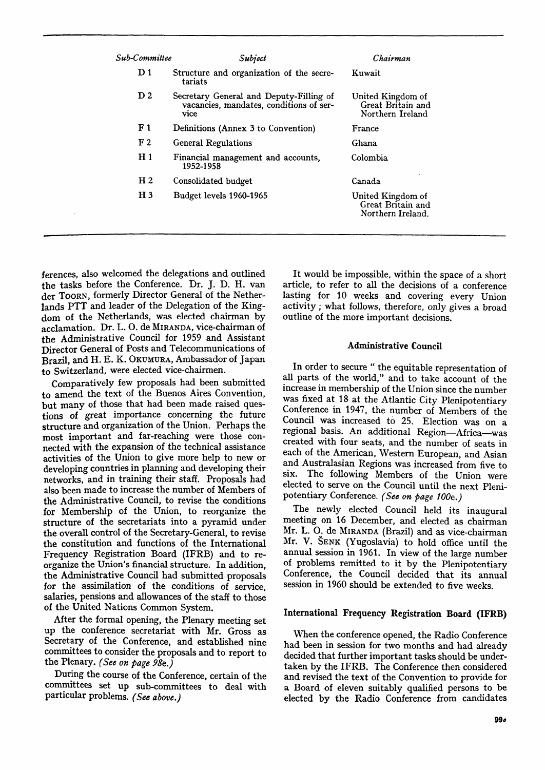| Sub-Committee  | Subject                                                                                           | Chairman                                                    |
|----------------|---------------------------------------------------------------------------------------------------|-------------------------------------------------------------|
| D <sub>1</sub> | Structure and organization of the secre-<br>tariats                                               | Kuwait                                                      |
| D <sub>2</sub> | Secretary General and Deputy-Filling of<br>vacancies, mandates, conditions of ser-<br><b>vice</b> | United Kingdom of<br>Great Britain and<br>Northern Ireland  |
| F <sub>1</sub> | Definitions (Annex 3 to Convention)                                                               | France                                                      |
| F <sub>2</sub> | General Regulations                                                                               | Ghana                                                       |
| H <sub>1</sub> | Financial management and accounts,<br>1952-1958                                                   | Colombia                                                    |
| H <sub>2</sub> | Consolidated budget                                                                               | Canada                                                      |
| H <sub>3</sub> | Budget levels 1960-1965                                                                           | United Kingdom of<br>Great Britain and<br>Northern Ireland. |

ferences, also welcomed the delegations and outlined the tasks before the Conference. Dr. J. D. H. van der TOORN, formerly Director General of the Netherlands PTT and leader of the Delegation of the Kingdom of the Netherlands, was elected chairman by acclamation. Dr. L. O. de MIRANDA, vice-chairman of the Administrative Council for 1959 and Assistant Director General of Posts and Telecommunications of Brazil, and H. E. K. OKUMURA, Ambassador of Japan to Switzerland, were elected vice-chairmen.

Comparatively few proposals had been submitted to amend the text of the Buenos Aires Convention, but many of those that had been made raised questions of great importance concerning the future structure and organization of the Union. Perhaps the most important and far-reaching were those connected with the expansion of the technical assistance activities of the Union to give more help to new or developing countries in planning and developing their networks, and in training their staff. Proposals had also been made to increase the number of Members of the Administrative Council, to revise the conditions for Membership of the Union, to reorganize the structure of the secretariats into a pyramid under the overall control of the Secretary-General, to revise the constitution and functions of the International Frequency Registration Board (IFRB) and to reorganize the Union's financial structure. In addition, the Administrative Council had submitted proposals for the assimilation of the conditions of service, salaries, pensions and allowances of the staff to those of the United Nations Common System.

After the formal opening, the Plenary meeting set up the conference secretariat with Mr. Gross as Secretary of the Conference, and established nine committees to consider the proposals and to report to the Plenary. *(See on page 98e.)* 

During the course of the Conference, certain of the committees set up sub-committees to deal with particular problems. *(See above.)* 

It would be impossible, within the space of a short article, to refer to all the decisions of a conference lasting for 10 weeks and covering every Union activity; what follows, therefore, only gives a broad outline of the more important decisions.

## Administrative Council

In order to secure " the equitable representation of all parts of the world," and to take account of the increase in membership of the Union since the number was fixed at 18 at the Atlantic City Plenipotentiary Conference in 1947, the number of Members of the Council was increased to 25. Election was on a regional basis. An additional Region—Africa—was created with four seats, and the number of seats in each of the American, Western European, and Asian and Australasian Regions was increased from five to six. The following Members of the Union were elected to serve on the Council until the next Plenipotentiary Conference. *(See on page 100e.)* 

The newly elected Council held its inaugural meeting on 16 December, and elected as chairman Mr. L. 0. de MIRANDA (Brazil) and as vice-chairman Mr. V. SENK (Yugoslavia) to hold office until the annual session in 1961. In view of the large number of problems remitted to it by the Plenipotentiary Conference, the Council decided that its annual session in 1960 should be extended to five weeks.

## International Frequency Registration Board (IFRB)

When the conference opened, the Radio Conference had been in session for two months and had already decided that further important tasks should be undertaken by the IFRB. The Conference then considered and revised the text of the Convention to provide for a Board of eleven suitably qualified persons to be elected by the Radio Conference from candidates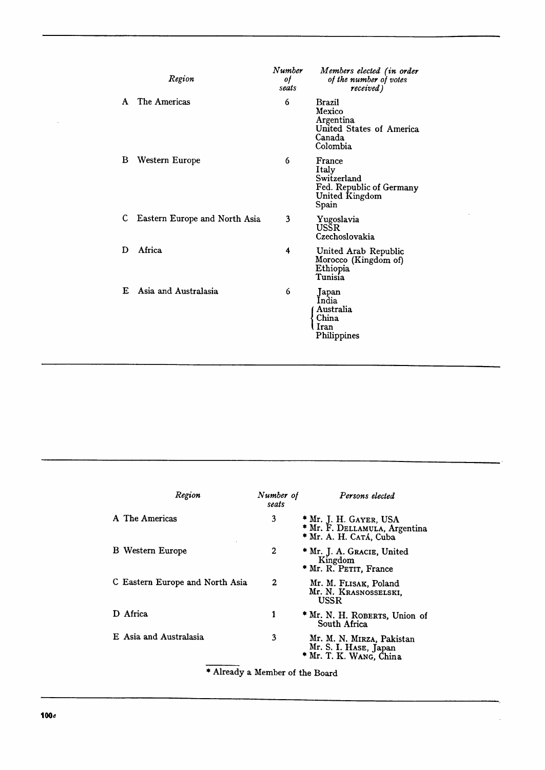|   | Region                        | Number<br>of<br>seats | Members elected (in order<br>of the number of votes<br>received)                      |
|---|-------------------------------|-----------------------|---------------------------------------------------------------------------------------|
| A | The Americas                  | 6                     | Brazil<br>Mexico<br>Argentina<br>United States of America<br>Canada<br>Colombia       |
| В | Western Europe                | 6                     | France<br>Italy<br>Switzerland<br>Fed. Republic of Germany<br>United Kingdom<br>Spain |
| C | Eastern Europe and North Asia | 3                     | Yugoslavia<br>USSR<br>Czechoslovakia                                                  |
| D | Africa                        | 4                     | United Arab Republic<br>Morocco (Kingdom of)<br>Ethiopia<br>Tunisia                   |
| E | Asia and Australasia          | 6                     | Japan<br>India<br>Australia<br>China<br>Iran<br>Philippines                           |

| Region                          | Number of<br>seats | Persons elected                                                                   |
|---------------------------------|--------------------|-----------------------------------------------------------------------------------|
| A The Americas                  | 3                  | * Mr. J. H. GAYER, USA<br>* Mr. F. DELLAMULA, Argentina<br>* Mr. A. H. Catá, Cuba |
| <b>B</b> Western Europe         | 2                  | * Mr. J. A. Gracie, United<br>Kingdom<br>* Mr. R. PETIT, France                   |
| C Eastern Europe and North Asia | $\mathbf{2}$       | Mr. M. FLISAK, Poland<br>Mr. N. KRASNOSSELSKI,<br><b>USSR</b>                     |
| Africa                          | 1                  | * Mr. N. H. ROBERTS, Union of<br>South Africa                                     |
| E Asia and Australasia          | 3                  | Mr. M. N. MIRZA, Pakistan<br>Mr. S. I. HASE, Japan<br>* Mr. T. K. WANG, China     |

Already a Member of the Board

 $\ddot{\phantom{a}}$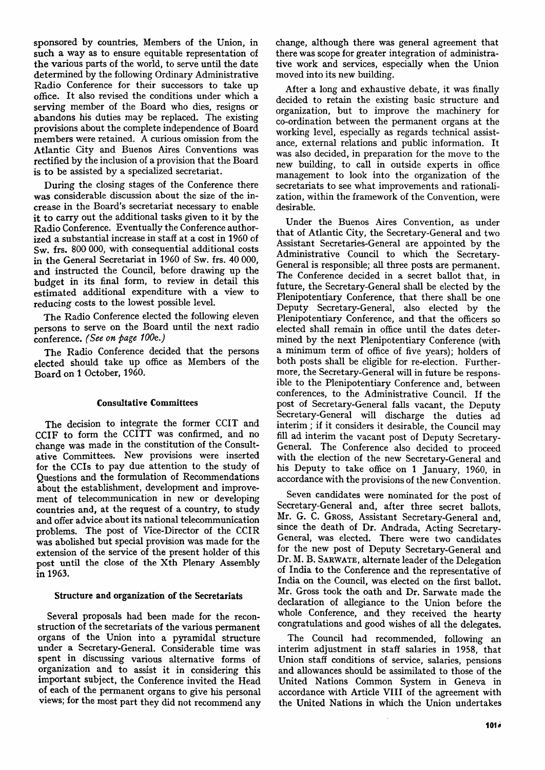sponsored by countries, Members of the Union, in such a way as to ensure equitable representation of the various parts of the world, to serve until the date determined by the following Ordinary Administrative Radio Conference for their successors to take up office. It also revised the conditions under which a serving member of the Board who dies, resigns or abandons his duties may be replaced. The existing provisions about the complete independence of Board members were retained. A curious omission from the Atlantic City and Buenos Aires Conventions was rectified by the inclusion of a provision that the Board is to be assisted by a specialized secretariat.

During the closing stages of the Conference there was considerable discussion about the size of the increase in the Board's secretariat necessary to enable it to carry out the additional tasks given to it by the Radio Conference. Eventually the Conference authorized a substantial increase in staff at a cost in 1960 of Sw. frs. 800 000, with consequential additional costs in the General Secretariat in 1960 of Sw. frs. 40 000, and instructed the Council, before drawing up the budget in its final form, to review in detail this estimated additional expenditure with a view to reducing costs to the lowest possible level.

The Radio Conference elected the following eleven persons to serve on the Board until the next radio conference. *(See on page 100e.)* 

The Radio Conference decided that the persons elected should take up office as Members of the Board on 1 October, 1960.

#### Consultative Committees

The decision to integrate the former CCIT and CCIF to form the CCITT was confirmed, and no change was made in the constitution of the Consultative Committees. New provisions were inserted for the CCIs to pay due attention to the study of Questions and the formulation of Recommendations about the establishment, development and improvement of telecommunication in new or developing countries and, at the request of a country, to study and offer advice about its national telecommunication problems. The post of Vice-Director of the CCIR was abolished but special provision was made for the extension of the service of the present holder of this post until the close of the Xth Plenary Assembly in 1963.

#### Structure and organization of the Secretariats

Several proposals had been made for the reconstruction of the secretariats of the various permanent organs of the Union into a pyramidal structure under a Secretary-General. Considerable time was spent in discussing various alternative forms of organization and to assist it in considering this important subject, the Conference invited the Head of each of the permanent organs to give his personal views; for the most part they did not recommend any change, although there was general agreement that there was scope for greater integration of administrative work and services, especially when the Union moved into its new building.

After a long and exhaustive debate, it was finally decided to retain the existing basic structure and organization, but to improve the machinery for co-ordination between the permanent organs at the working level, especially as regards technical assistance, external relations and public information. It was also decided, in preparation for the move to the new building, to call in outside experts in office management to look into the organization of the secretariats to see what improvements and rationalization, within the framework of the Convention, were desirable.

Under the Buenos Aires Convention, as under that of Atlantic City, the Secretary-General and two Assistant Secretaries-General are appointed by the Administrative Council to which the Secretary-General is responsible; all three posts are permanent. The Conference decided in a secret ballot that, in future, the Secretary-General shall be elected by the Plenipotentiary Conference, that there shall be one Deputy Secretary-General, also elected by the Plenipotentiary Conference, and that the officers so elected shall remain in office until the dates determined by the next Plenipotentiary Conference (with a minimum term of office of five years); holders of both posts shall be eligible for re-election. Furthermore, the Secretary-General will in future be responsible to the Plenipotentiary Conference and, between conferences, to the Administrative Council. If the post of Secretary-General falls vacant, the Deputy Secretary-General will discharge the duties ad interim ; if it considers it desirable, the Council may fill ad interim the vacant post of Deputy Secretary-General. The Conference also decided to proceed with the election of the new Secretary-General and his Deputy to take office on 1 January, 1960, in accordance with the provisions of the new Convention.

Seven candidates were nominated for the post of Secretary-General and, after three secret ballots, Mr. G. C. GROSS, Assistant Secretary-General and, since the death of Dr. Andrada, Acting Secretary-General, was elected. There were two candidates for the new post of Deputy Secretary-General and Dr. M. B. SARWATE, alternate leader of the Delegation of India to the Conference and the representative of India on the Council, was elected on the first ballot. Mr. Gross took the oath and Dr. Sarwate made the declaration of allegiance to the Union before the whole Conference, and they received the hearty congratulations and good wishes of all the delegates.

The Council had recommended, following an interim adjustment in staff salaries in 1958, that Union staff conditions of service, salaries, pensions and allowances should be assimilated to those of the United Nations Common System in Geneva in accordance with Article VIII of the agreement with the United Nations in which the Union undertakes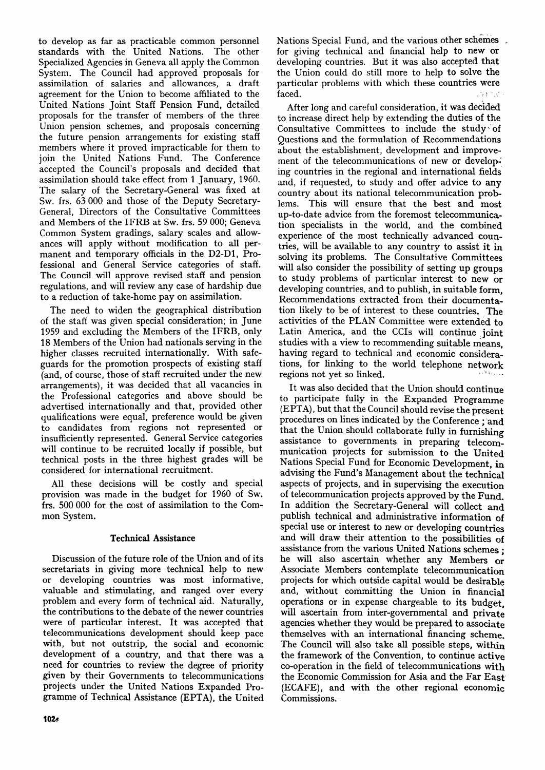to develop as far as practicable common personnel standards with the United Nations. The other Specialized Agencies in Geneva all apply the Common System. The Council had approved proposals for assimilation of salaries and allowances, a draft agreement for the Union to become affiliated to the United Nations Joint Staff Pension Fund, detailed proposals for the transfer of members of the three Union pension schemes, and proposals concerning the future pension arrangements for existing staff members where it proved impracticable for them to join the United Nations Fund. The Conference accepted the Council's proposals and decided that assimilation should take effect from 1 January, 1960. The salary of the Secretary-General was fixed at Sw. frs. 63 000 and those of the Deputy Secretary-General, Directors of the Consultative Committees and Members of the IFRB at Sw. frs. 59 000; Geneva Common System gradings, salary scales and allowances will apply without modification to all permanent and temporary officials in the D2-D1, Professional and General Service categories of staff. The Council will approve revised staff and pension regulations, and will review any case of hardship due to a reduction of take-home pay on assimilation.

The need to widen the geographical distribution of the staff was given special consideration; in June 1959 and excluding the Members of the IFRB, only 18 Members of the Union had nationals serving in the higher classes recruited internationally. With safeguards for the promotion prospects of existing staff (and, of course, those of staff recruited under the new arrangements), it was decided that all vacancies in the Professional categories and above should be advertised internationally and that, provided other qualifications were equal, preference would be given to candidates from regions not represented or insufficiently represented. General Service categories will continue to be recruited locally if possible, but technical posts in the three highest grades will be considered for international recruitment.

All these decisions will be costly and special provision was made in the budget for 1960 of Sw. frs. 500 000 for the cost of assimilation to the Common System.

# Technical Assistance

Discussion of the future role of the Union and of its secretariats in giving more technical help to new or developing countries was most informative, valuable and stimulating, and ranged over every problem and every form of technical aid. Naturally, the contributions to the debate of the newer countries were of particular interest. It was accepted that telecommunications development should keep pace with, but not outstrip, the social and economic development of a country, and that there was a need for countries to review the degree of priority given by their Governments to telecommunications projects under the United Nations Expanded Programme of Technical Assistance (EPTA), the United

Nations Special Fund, and the various other schemes , for giving technical and financial help to new or developing countries. But it was also accepted that the Union could do still more to help to solve the particular problems with which these countries were faced.

After long and careful consideration, it was decided to increase direct help by extending the duties of the Consultative Committees to include the study of Questions and the formulation of Recommendations about the establishment, development and improvement of the telecommunications of new or developing countries in the regional and international fields and, if requested, to study and offer advice to any country about its national telecommunication problems. This will ensure that the best and most up-to-date advice from the foremost telecommunication specialists in the world, and the combined experience of the most technically advanced countries, will be available to any country to assist it in solving its problems. The Consultative Committees will also consider the possibility of setting up groups to study problems of particular interest to new or developing countries, and to publish, in suitable form, Recommendations extracted from their documentation likely to be of interest to these countries. The activities of the PLAN Committee were extended to Latin America, and the CCIs will continue joint studies with a view to recommending suitable means, having regard to technical and economic considerations, for linking to the world telephone network regions not yet so linked.

It was also decided that the Union should continue to participate fully in the Expanded Programme (EPTA), but that the Council should revise the present procedures on lines indicated by the Conference ; and that the Union should collaborate fully in furnishing assistance to governments in preparing telecommunication projects for submission to the United Nations Special Fund for Economic Development, in advising the Fund's Management about the technical aspects of projects, and in supervising the execution of telecommunication projects approved by the Fund. In addition the Secretary-General will collect and publish technical and administrative information of special use or interest to new or developing countries and will draw their attention to the possibilities of assistance from the various United Nations schemes ; he will also ascertain whether any Members or Associate Members contemplate telecommunication projects for which outside capital would be desirable and, without committing the Union in financial operations or in expense chargeable to its budget, will ascertain from inter-governmental and private agencies whether they would be prepared to associate themselves with an international financing scheme. The Council will also take all possible steps, within the framework of the Convention, to continue active co-operation in the field of telecommunications with the Economic Commission for Asia and the Far East (ECAFE), and with the other regional economic Commissions.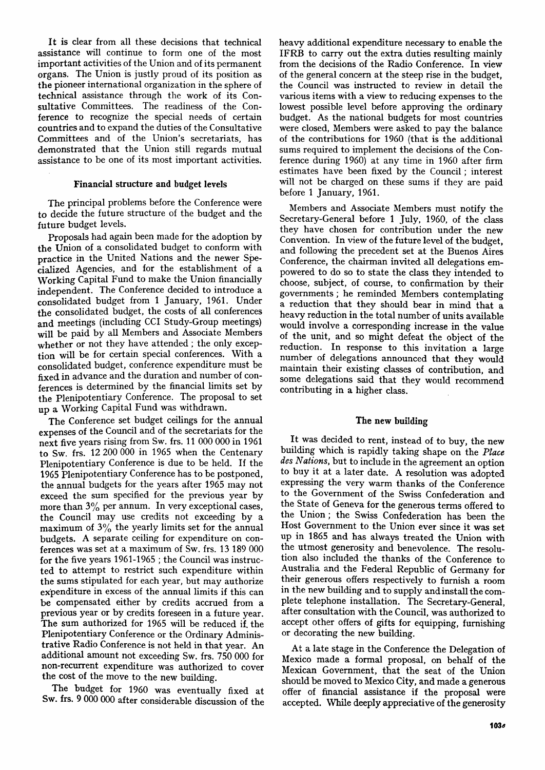It is clear from all these decisions that technical assistance will continue to form one of the most important activities of the Union and of its permanent organs. The Union is justly proud of its position as the pioneer international organization in the sphere of technical assistance through the work of its Consultative Committees. The readiness of the Conference to recognize the special needs of certain countries and to expand the duties of the Consultative Committees and of the Union's secretariats, has demonstrated that the Union still regards mutual assistance to be one of its most important activities.

#### Financial structure and budget levels

The principal problems before the Conference were to decide the future structure of the budget and the future budget levels.

Proposals had again been made for the adoption by the Union of a consolidated budget to conform with practice in the United Nations and the newer Specialized Agencies, and for the establishment of a Working Capital Fund to make the Union financially independent. The Conference decided to introduce a consolidated budget from 1 January, 1961. Under the consolidated budget, the costs of all conferences and meetings (including CCI Study-Group meetings) will be paid by all Members and Associate Members whether or not they have attended ; the only exception will be for certain special conferences. With a consolidated budget, conference expenditure must be fixed in advance and the duration and number of conferences is determined by the financial limits set by the Plenipotentiary Conference. The proposal to set up a Working Capital Fund was withdrawn.

The Conference set budget ceilings for the annual expenses of the Council and of the secretariats for the next five years rising from Sw. frs. 11 000 000 in 1961 to Sw. frs. 12 200 000 in 1965 when the Centenary Plenipotentiary Conference is due to be held. If the 1965 Plenipotentiary Conference has to be postponed, the annual budgets for the years after 1965 may not exceed the sum specified for the previous year by more than  $3\%$  per annum. In very exceptional cases, the Council may use credits not exceeding by a maximum of  $3\%$  the yearly limits set for the annual budgets. A separate ceiling for expenditure on conferences was set at a maximum of Sw. frs. 13 189 000 for the five years 1961-1965 ; the Council was instructed to attempt to restrict such expenditure within the sums stipulated for each year, but may authorize expenditure in excess of the annual limits if this can be compensated either by credits accrued from a previous year or by credits foreseen in a future year. The sum authorized for 1965 will be reduced if. the Plenipotentiary Conference or the Ordinary Administrative Radio Conference is not held in that year. An additional amount not exceeding Sw. frs. 750 000 for non-recurrent expenditure was authorized to cover the cost of the move to the new building.

The budget for 1960 was eventually fixed at Sw. frs. 9 000 000 after considerable discussion of the heavy additional expenditure necessary to enable the IFRB to carry out the extra duties resulting mainly from the decisions of the Radio Conference. In view of the general concern at the steep rise in the budget, the Council was instructed to review in detail the various items with a view to reducing expenses to the lowest possible level before approving the ordinary budget. As the national budgets for most countries were closed, Members were asked to pay the balance of the contributions for 1960 (that is the additional sums required to implement the decisions of the Conference during I960) at any time in 1960 after firm estimates have been fixed by the Council; interest will not be charged on these sums if they are paid before 1 January, 1961.

Members and Associate Members must notify the Secretary-General before 1 July, 1960, of the class they have chosen for contribution under the new Convention. In view of the future level of the budget, and following the precedent set at the Buenos Aires Conference, the chairman invited all delegations empowered to do so to state the class they intended to choose, subject, of course, to confirmation by their governments ; he reminded Members contemplating a reduction that they should bear in mind that a heavy reduction in the total number of units available would involve a corresponding increase in the value of the unit, and so might defeat the object of the reduction. In response to this invitation a large number of delegations announced that they would maintain their existing classes of contribution, and some delegations said that they would recommend contributing in a higher class.

#### The new building

It was decided to rent, instead of to buy, the new building which is rapidly taking shape on the *Place des Nations,* but to include in the agreement an option to buy it at a later date. A resolution was adopted expressing the very warm thanks of the Conference to the Government of the Swiss Confederation and the State of Geneva for the generous terms offered to the Union; the Swiss Confederation has been the Host Government to the Union ever since it was set up in 1865 and has always treated the Union with the utmost generosity and benevolence. The resolution also included the thanks of the Conference to Australia and the Federal Republic of Germany for their generous offers respectively to furnish a room in the new building and to supply and install the complete telephone installation. The Secretary-General, after consultation with the Council, was authorized to accept other offers of gifts for equipping, furnishing or decorating the new building.

At a late stage in the Conference the Delegation of Mexico made a formal proposal, on behalf of the Mexican Government, that the seat of the Union should be moved to Mexico City, and made a generous offer of financial assistance if the proposal were accepted. While deeply appreciative of the generosity